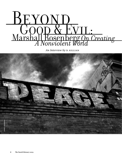

*An Interview by D. KILLIAN* 

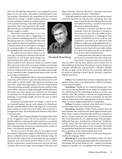*I first met Marshall Rosenberg when I was assigned by a local paper to cover one of his "Nonviolent Communication" training seminars. Disturbed by the inequalities in the world and impatient for change, I couldn't imagine what use a commu-*

*nication technique could be in solving problems such as global warming or the debt of developing nations. But I was surprised by the visible effect Rosenberg's work had on individuals and families caught in conflict.* 

*Nonviolent Communication, or NVC, has four steps: observing what is happening in a given situation; identifying what one is feeling; identifying what one is needing; and then making a request for what one would like to see occur. It sounds simple, yet it's more than a technique for resolving conflict. It's a different way of understanding human motivation and behavior.*

 *Rosenberg learned about violence at an early age. Growing up in Detroit in the thirties and forties, he was beaten up for being a Jew and witnessed some of the city's worst race riots,* 

*which resulted in more than forty deaths in a matter of days.*  These experiences drove him to study psychology in an attempt *to understand, as he puts it, "what happens to disconnect us from our compassionate nature, and what allows some people to stay connected to their compassionate nature under even the most trying circumstances."* 

 *Rosenberg completed his PhD in clinical psychology at the University of Wisconsin in and afterward went to work*  with youths at reform schools. The experience led him to con*clude that, rather than help people to be more compassionate, clinical psychology actually contributed to the conditions that cause violence, because it categorized people and thus distanced them from each other; doctors were trained to see the diagnosis, not the person. He decided that violence did not arise from pathology, as psychology taught, but from the ways in which we communicate.* 

 *Humanist psychotherapist Carl Rogers, creator of "client-centered therapy," was an early influence on Rosenberg's theories, and Rosenberg worked with Rogers for several years before setting out on his own to teach others how to interact in nonaggressive ways. His method became known as Nonviolent Communication.* 

 *No longer a practicing psychologist, Rosenberg admits that he has struggled at times with his own method, resorting to familiar behavior or fearing the risks involved in a nonviolent approach. Yet each time he has followed through with Nonviolent Communication, he has been surprised by the results. At times, it has literally saved his life.* 

*On one occasion in the late 1980s, he was asked to teach his method to Palestinian refugees in Bethlehem. He met with about Muslim men at a mosque in the Deheisha Camp. On the way into the camp, he saw several empty tear-gas canisters along the road, each clearly marked "Made in U.S.A." When the men realized their would-be instructor was from the United States, they became angry. Some jumped to their feet and* 



## Marshall Rosenberg

*began shouting, "Assassin! Murderer!" One man confronted Rosenberg, screaming in his face, "Child killer!"* 

 *Although tempted to make a quick exit, Rosenberg instead focused his questions on what the man was feeling, and a dia-*

*logue ensued. By the end of the day, the man who had called Rosenberg a murderer had invited him home to Ramadan dinner.*

 *Rosenberg is founder and director of the nonprofit Center for Nonviolent Communication (www.cnvc.org). He is the author of* Nonviolent Communication: A Language of Compassion *(PuddleDancer Press) and has just completed a new book, to be released by Pud*dleDancer in fall 2003, on the application of NVC *in education:* When Students Love to Learn and Teachers Love to Teach*. He is currently working on a third book addressing the social implications of Nonviolent Communication.* 

 *A tall, gaunt man, Rosenberg is soft-spoken but becomes animated when describing how Nonviolent Communication has worked for* 

*him and others. He has three children and currently lives in Wasserfallenof, Switzerland. Rosenberg is in great demand as a speaker and educator and maintains a relentless schedule. e day we spoke was his first free day in months. Afterward, he would be traveling to Israel, Brazil, Slovenia, Argentina, Poland, and Africa.* 

 **Killian:** Your method aims to teach compassion, but compassion seems more a way of being than a skill or technique. Can it really be taught?

 **Rosenberg:** I would say it's a natural human trait. Our survival as a species depends on our ability to recognize that our well-being and the well-being of others are, in fact, one and the same. The problem is that we are taught behaviors that disconnect us from this natural awareness. It's not that we have to learn how to be compassionate; we have to unlearn what we've been taught and get back to compassion.

 **Killian:** If violence is learned, when did it start? It seems to have always been a part of human existence.

Rosenberg: Theologian Walter Wink estimates that violence has been the social norm for about eight thousand years. That's when a myth evolved that the world was created by a heroic, virtuous male god who defeated an evil female goddess. From that point on, we've had the image of the good guys killing the bad guys. And that has evolved into "retributive justice," which says that there are those who deserve to be punished and those who deserve to be rewarded. That belief has penetrated deep into our societies. Not every culture has been exposed to it, but, unfortunately, most have.

 **Killian:** You've said that *deserve* is the most dangerous word in the language. Why?

 **Rosenberg:** It's at the basis of retributive justice. For thousands of years, we've been operating under this system that says that people who do bad deeds are evil — indeed, that human beings are basically evil. According to this way of thinking, a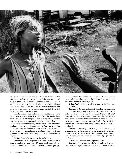

few good people have evolved, and it's up to them to be the authorities and control the others. And the way you control people, given that our nature is evil and selfish, is through a system of justice in which people who behave in a good manner get rewarded, while those who are evil are made to suffer. In order to see such a system as fair, one has to believe that both sides deserve what they get.

 I used to live in Texas, and when they would execute somebody there, the good Baptist students from the local college would gather outside the prison and have a party. When the word came over the loudspeaker that the convict had been killed, there was loud cheering and so forth — the same kind of cheering that went on in some parts of Palestine when they found out about the September 11 terrorist attacks. When you have a concept of justice based on good and evil, in which people deserve to suffer for what they've done, it makes violence enjoyable.

 **Killian:** But you're not opposed to judgments.

 **Rosenberg:** I'm all for judgments. I don't think we could survive very long without them. We judge which foods will give us what our bodies need. We judge which actions are going to meet our needs. But I differentiate between life-serving judgments, which are about our needs, and moralistic judgments that imply rightness or wrongness.

 **Killian:** You've called instead for "restorative justice." How is that different?

 **Rosenberg:** Restorative justice is based on the question: how do we restore peace? In other words, how do we restore a state in which people care about one another's well-being? Research indicates that perpetrators who go through restorative justice are less likely to repeat the behaviors that led to their incarceration. And it's far more healing for the victim to have peace restored than simply to see the other person punished.

The idea is spreading. I was in England about a year ago to present a keynote speech at the international conference on restorative justice. I expected thirty people might show up. I was delighted to see more than six hundred people at this conference.

 **Killian:** How does restorative justice work?

 **Rosenberg:** I have seen it work, for example, with women who have been raped and the men who raped them. The first